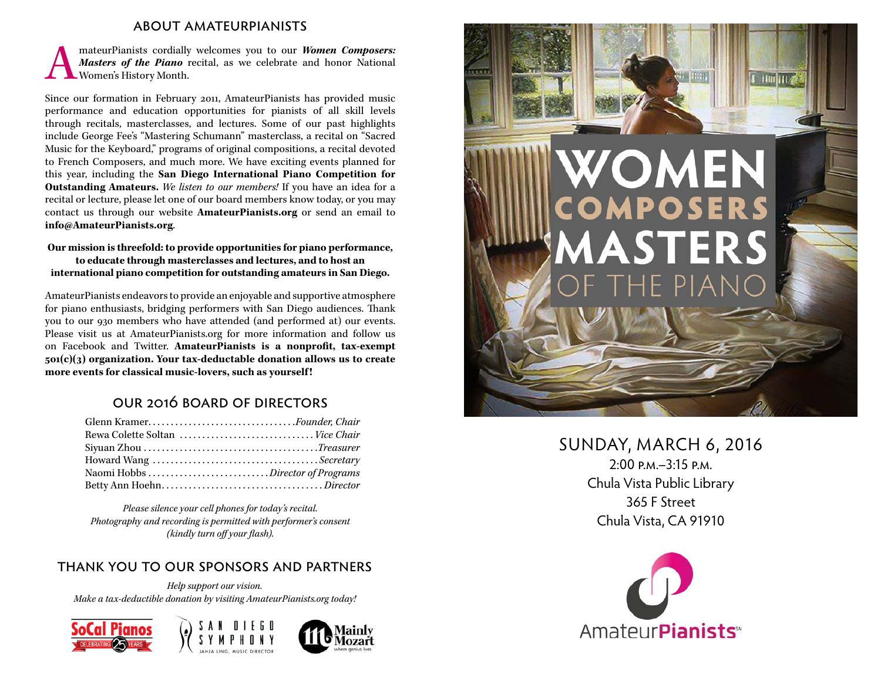#### about amateurpianists

MateurPianists cordially welcomes you to our *Women Composers:*<br>Masters of the Piano recital, as we celebrate and honor National Women's History Month. *Masters of the Piano* recital, as we celebrate and honor National Women's History Month.

Since our formation in February 2011, AmateurPianists has provided music performance and education opportunities for pianists of all skill levels through recitals, masterclasses, and lectures. Some of our past highlights include George Fee's "Mastering Schumann" masterclass, a recital on "Sacred Music for the Keyboard," programs of original compositions, a recital devoted to French Composers, and much more. We have exciting events planned for this year, including the **San Diego International Piano Competition for Outstanding Amateurs.** *We listen to our members!* If you have an idea for a recital or lecture, please let one of our board members know today, or you may contact us through our website **AmateurPianists.org** or send an email to **info@AmateurPianists.org**.

#### **Our mission is threefold: to provide opportunities for piano performance, to educate through masterclasses and lectures, and to host an international piano competition for outstanding amateurs in San Diego.**

AmateurPianists endeavors to provide an enjoyable and supportive atmosphere for piano enthusiasts, bridging performers with San Diego audiences. Thank you to our 930 members who have attended (and performed at) our events. Please visit us at AmateurPianists.org for more information and follow us on Facebook and Twitter. **AmateurPianists is a nonprofit, tax-exempt 501(c)(3) organization. Your tax-deductable donation allows us to create more events for classical music-lovers, such as yourself !**

### our 2016 board of directors

| Glenn Kramer <i>.Founder, Chair</i> |
|-------------------------------------|
|                                     |
|                                     |
|                                     |
|                                     |
|                                     |

*Please silence your cell phones for today's recital. Photography and recording is permitted with performer's consent (kindly turn off your flash).*

### thank you to our sponsors and partners

*Help support our vision. Make a tax-deductible donation by visiting AmateurPianists.org today!*









## SUNDAY, MARCH 6, 2016 2:00 p.m.–3:15 p.m. Chula Vista Public Library 365 F Street Chula Vista, CA 91910